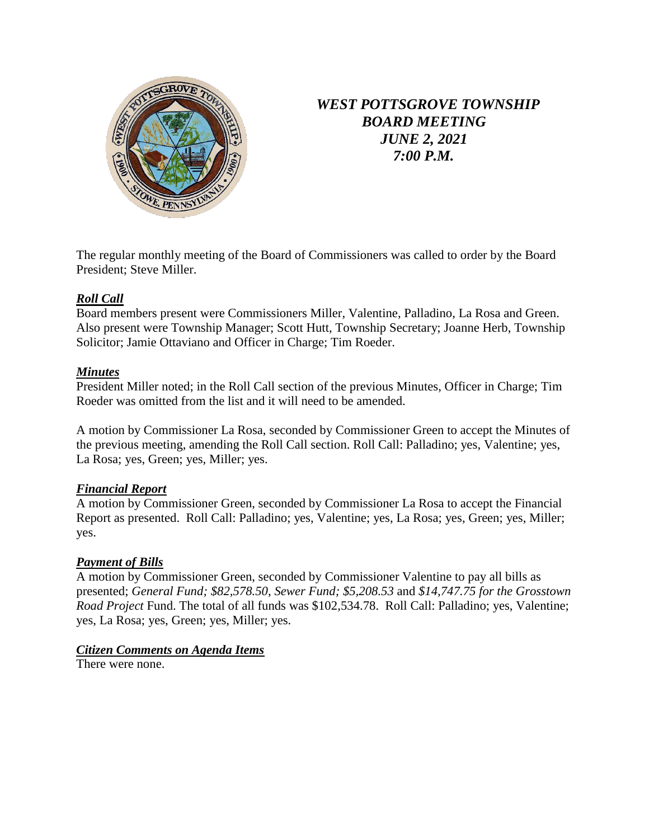

# *WEST POTTSGROVE TOWNSHIP BOARD MEETING JUNE 2, 2021 7:00 P.M.*

The regular monthly meeting of the Board of Commissioners was called to order by the Board President; Steve Miller.

# *Roll Call*

Board members present were Commissioners Miller, Valentine, Palladino, La Rosa and Green. Also present were Township Manager; Scott Hutt, Township Secretary; Joanne Herb, Township Solicitor; Jamie Ottaviano and Officer in Charge; Tim Roeder.

## *Minutes*

President Miller noted; in the Roll Call section of the previous Minutes, Officer in Charge; Tim Roeder was omitted from the list and it will need to be amended.

A motion by Commissioner La Rosa, seconded by Commissioner Green to accept the Minutes of the previous meeting, amending the Roll Call section. Roll Call: Palladino; yes, Valentine; yes, La Rosa; yes, Green; yes, Miller; yes.

# *Financial Report*

A motion by Commissioner Green, seconded by Commissioner La Rosa to accept the Financial Report as presented. Roll Call: Palladino; yes, Valentine; yes, La Rosa; yes, Green; yes, Miller; yes.

# *Payment of Bills*

A motion by Commissioner Green, seconded by Commissioner Valentine to pay all bills as presented; *General Fund; \$82,578.50*, *Sewer Fund; \$5,208.53* and *\$14,747.75 for the Grosstown Road Project* Fund. The total of all funds was \$102,534.78. Roll Call: Palladino; yes, Valentine; yes, La Rosa; yes, Green; yes, Miller; yes.

# *Citizen Comments on Agenda Items*

There were none.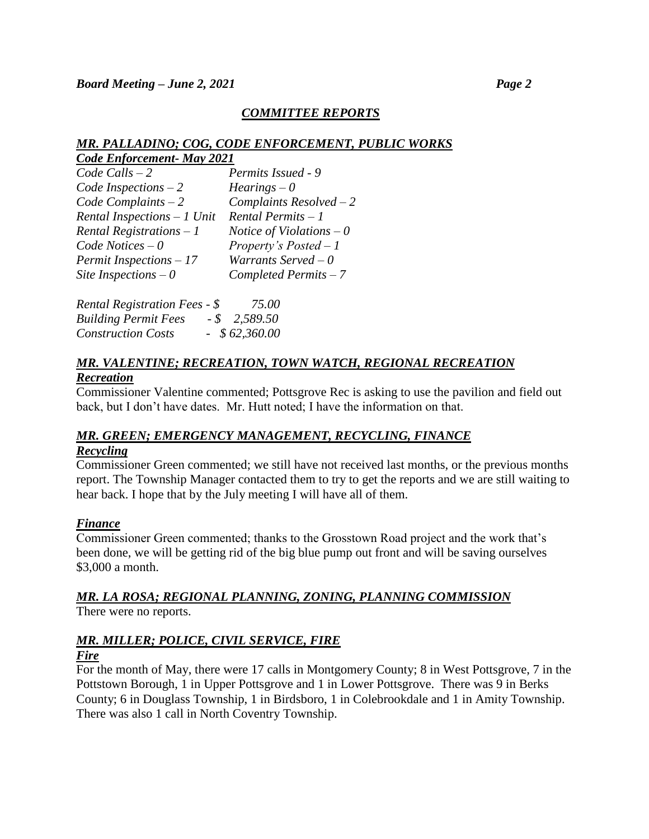# *COMMITTEE REPORTS*

## *MR. PALLADINO; COG, CODE ENFORCEMENT, PUBLIC WORKS*

| Code Enforcement- May 2021  |                            |  |
|-----------------------------|----------------------------|--|
| $Code$ Calls $-2$           | Permits Issued - 9         |  |
| Code Inspections $-2$       | $Hearings - 0$             |  |
| $Code$ Complaints $-2$      | Complaints $Resolved-2$    |  |
| Rental Inspections - 1 Unit | Rental Permits - 1         |  |
| Rental Registrations $-1$   | Notice of Violations $-0$  |  |
| Code Notices $-0$           | Property's Posted $-1$     |  |
| Permit Inspections - 17     | Warrants Served $-0$       |  |
| Site Inspections $-0$       | $Completed \, Permits - 7$ |  |

| <b>Rental Registration Fees - \$</b> | 75.00           |
|--------------------------------------|-----------------|
| <b>Building Permit Fees</b>          | $-$ \$ 2,589.50 |
| <b>Construction Costs</b>            | $-$ \$62,360.00 |

## *MR. VALENTINE; RECREATION, TOWN WATCH, REGIONAL RECREATION Recreation*

Commissioner Valentine commented; Pottsgrove Rec is asking to use the pavilion and field out back, but I don't have dates. Mr. Hutt noted; I have the information on that.

## *MR. GREEN; EMERGENCY MANAGEMENT, RECYCLING, FINANCE Recycling*

Commissioner Green commented; we still have not received last months, or the previous months report. The Township Manager contacted them to try to get the reports and we are still waiting to hear back. I hope that by the July meeting I will have all of them.

# *Finance*

Commissioner Green commented; thanks to the Grosstown Road project and the work that's been done, we will be getting rid of the big blue pump out front and will be saving ourselves \$3,000 a month.

# *MR. LA ROSA; REGIONAL PLANNING, ZONING, PLANNING COMMISSION*

There were no reports.

# *MR. MILLER; POLICE, CIVIL SERVICE, FIRE*

# *Fire*

For the month of May, there were 17 calls in Montgomery County; 8 in West Pottsgrove, 7 in the Pottstown Borough, 1 in Upper Pottsgrove and 1 in Lower Pottsgrove. There was 9 in Berks County; 6 in Douglass Township, 1 in Birdsboro, 1 in Colebrookdale and 1 in Amity Township. There was also 1 call in North Coventry Township.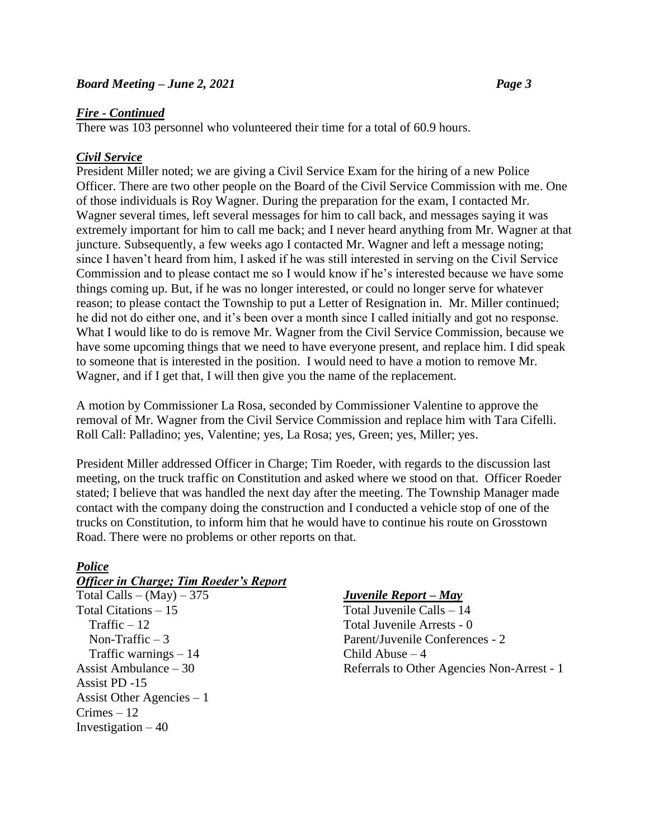## *Fire - Continued*

There was 103 personnel who volunteered their time for a total of 60.9 hours.

# *Civil Service*

President Miller noted; we are giving a Civil Service Exam for the hiring of a new Police Officer. There are two other people on the Board of the Civil Service Commission with me. One of those individuals is Roy Wagner. During the preparation for the exam, I contacted Mr. Wagner several times, left several messages for him to call back, and messages saying it was extremely important for him to call me back; and I never heard anything from Mr. Wagner at that juncture. Subsequently, a few weeks ago I contacted Mr. Wagner and left a message noting; since I haven't heard from him, I asked if he was still interested in serving on the Civil Service Commission and to please contact me so I would know if he's interested because we have some things coming up. But, if he was no longer interested, or could no longer serve for whatever reason; to please contact the Township to put a Letter of Resignation in. Mr. Miller continued; he did not do either one, and it's been over a month since I called initially and got no response. What I would like to do is remove Mr. Wagner from the Civil Service Commission, because we have some upcoming things that we need to have everyone present, and replace him. I did speak to someone that is interested in the position. I would need to have a motion to remove Mr. Wagner, and if I get that, I will then give you the name of the replacement.

A motion by Commissioner La Rosa, seconded by Commissioner Valentine to approve the removal of Mr. Wagner from the Civil Service Commission and replace him with Tara Cifelli. Roll Call: Palladino; yes, Valentine; yes, La Rosa; yes, Green; yes, Miller; yes.

President Miller addressed Officer in Charge; Tim Roeder, with regards to the discussion last meeting, on the truck traffic on Constitution and asked where we stood on that. Officer Roeder stated; I believe that was handled the next day after the meeting. The Township Manager made contact with the company doing the construction and I conducted a vehicle stop of one of the trucks on Constitution, to inform him that he would have to continue his route on Grosstown Road. There were no problems or other reports on that.

# *Police*

#### *Officer in Charge; Tim Roeder's Report*

Total Calls – (May) – 375 *Juvenile Report – May* Total Citations – 15 Total Juvenile Calls – 14 Traffic – 12 Total Juvenile Arrests - 0 Traffic warnings  $-14$  Child Abuse  $-4$ Assist PD -15 Assist Other Agencies – 1  $C$ rimes  $-12$ Investigation  $-40$ 

 $\text{Non-}\text{Traffic} - 3$  Parent/Juvenile Conferences - 2 Assist Ambulance – 30 Referrals to Other Agencies Non-Arrest - 1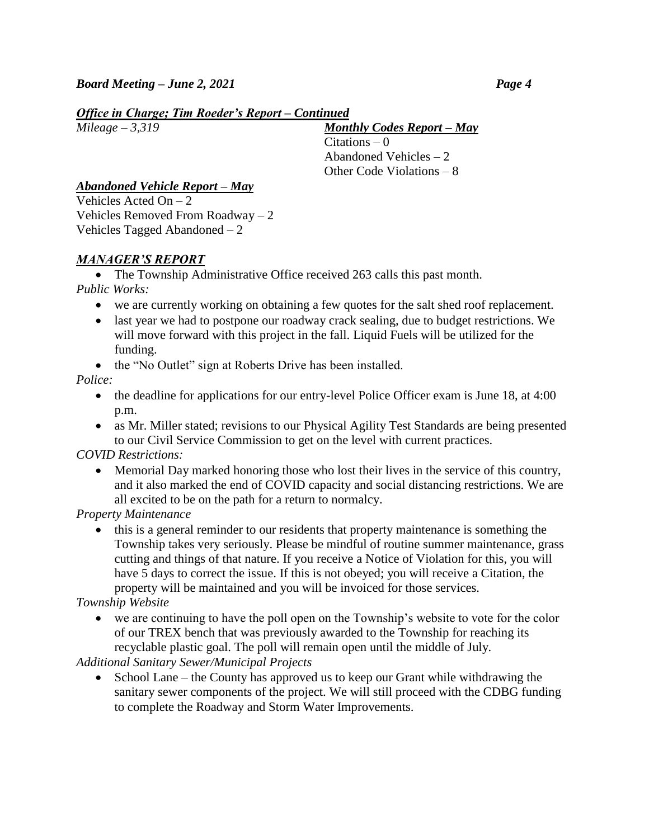# *Office in Charge; Tim Roeder's Report – Continued*

*Mileage – 3,319 Monthly Codes Report – May*  $Citations - 0$  Abandoned Vehicles – 2 Other Code Violations – 8

# *Abandoned Vehicle Report – May*

Vehicles Acted  $On - 2$ Vehicles Removed From Roadway – 2 Vehicles Tagged Abandoned – 2

# *MANAGER'S REPORT*

• The Township Administrative Office received 263 calls this past month. *Public Works:* 

- we are currently working on obtaining a few quotes for the salt shed roof replacement.
- last year we had to postpone our roadway crack sealing, due to budget restrictions. We will move forward with this project in the fall. Liquid Fuels will be utilized for the funding.
- the "No Outlet" sign at Roberts Drive has been installed.

# *Police:*

- the deadline for applications for our entry-level Police Officer exam is June 18, at 4:00 p.m.
- as Mr. Miller stated; revisions to our Physical Agility Test Standards are being presented to our Civil Service Commission to get on the level with current practices.

# *COVID Restrictions:*

 Memorial Day marked honoring those who lost their lives in the service of this country, and it also marked the end of COVID capacity and social distancing restrictions. We are all excited to be on the path for a return to normalcy.

*Property Maintenance*

• this is a general reminder to our residents that property maintenance is something the Township takes very seriously. Please be mindful of routine summer maintenance, grass cutting and things of that nature. If you receive a Notice of Violation for this, you will have 5 days to correct the issue. If this is not obeyed; you will receive a Citation, the property will be maintained and you will be invoiced for those services.

*Township Website* 

 we are continuing to have the poll open on the Township's website to vote for the color of our TREX bench that was previously awarded to the Township for reaching its recyclable plastic goal. The poll will remain open until the middle of July.

*Additional Sanitary Sewer/Municipal Projects*

• School Lane – the County has approved us to keep our Grant while withdrawing the sanitary sewer components of the project. We will still proceed with the CDBG funding to complete the Roadway and Storm Water Improvements.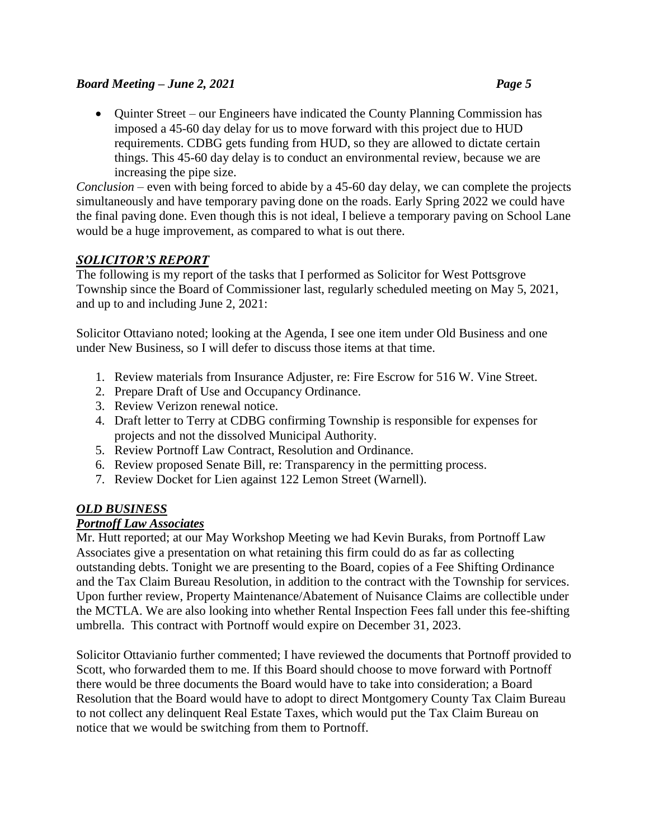# *Board Meeting – June 2, 2021 Page 5*

• Quinter Street – our Engineers have indicated the County Planning Commission has imposed a 45-60 day delay for us to move forward with this project due to HUD requirements. CDBG gets funding from HUD, so they are allowed to dictate certain things. This 45-60 day delay is to conduct an environmental review, because we are increasing the pipe size.

*Conclusion* – even with being forced to abide by a 45-60 day delay, we can complete the projects simultaneously and have temporary paving done on the roads. Early Spring 2022 we could have the final paving done. Even though this is not ideal, I believe a temporary paving on School Lane would be a huge improvement, as compared to what is out there.

# *SOLICITOR'S REPORT*

The following is my report of the tasks that I performed as Solicitor for West Pottsgrove Township since the Board of Commissioner last, regularly scheduled meeting on May 5, 2021, and up to and including June 2, 2021:

Solicitor Ottaviano noted; looking at the Agenda, I see one item under Old Business and one under New Business, so I will defer to discuss those items at that time.

- 1. Review materials from Insurance Adjuster, re: Fire Escrow for 516 W. Vine Street.
- 2. Prepare Draft of Use and Occupancy Ordinance.
- 3. Review Verizon renewal notice.
- 4. Draft letter to Terry at CDBG confirming Township is responsible for expenses for projects and not the dissolved Municipal Authority.
- 5. Review Portnoff Law Contract, Resolution and Ordinance.
- 6. Review proposed Senate Bill, re: Transparency in the permitting process.
- 7. Review Docket for Lien against 122 Lemon Street (Warnell).

# *OLD BUSINESS*

# *Portnoff Law Associates*

Mr. Hutt reported; at our May Workshop Meeting we had Kevin Buraks, from Portnoff Law Associates give a presentation on what retaining this firm could do as far as collecting outstanding debts. Tonight we are presenting to the Board, copies of a Fee Shifting Ordinance and the Tax Claim Bureau Resolution, in addition to the contract with the Township for services. Upon further review, Property Maintenance/Abatement of Nuisance Claims are collectible under the MCTLA. We are also looking into whether Rental Inspection Fees fall under this fee-shifting umbrella. This contract with Portnoff would expire on December 31, 2023.

Solicitor Ottavianio further commented; I have reviewed the documents that Portnoff provided to Scott, who forwarded them to me. If this Board should choose to move forward with Portnoff there would be three documents the Board would have to take into consideration; a Board Resolution that the Board would have to adopt to direct Montgomery County Tax Claim Bureau to not collect any delinquent Real Estate Taxes, which would put the Tax Claim Bureau on notice that we would be switching from them to Portnoff.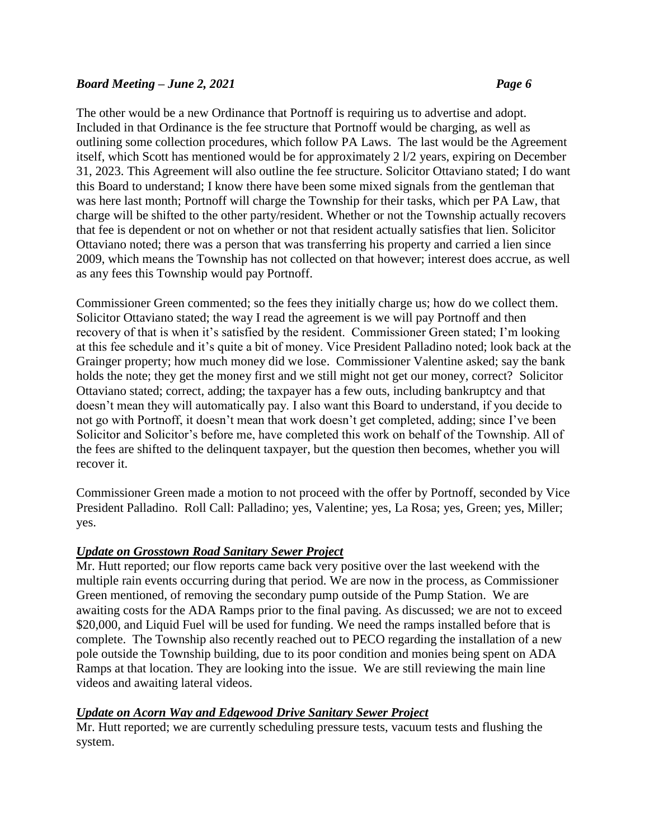#### *Board Meeting – June 2, 2021 Page 6*

The other would be a new Ordinance that Portnoff is requiring us to advertise and adopt. Included in that Ordinance is the fee structure that Portnoff would be charging, as well as outlining some collection procedures, which follow PA Laws. The last would be the Agreement itself, which Scott has mentioned would be for approximately 2 l/2 years, expiring on December 31, 2023. This Agreement will also outline the fee structure. Solicitor Ottaviano stated; I do want this Board to understand; I know there have been some mixed signals from the gentleman that was here last month; Portnoff will charge the Township for their tasks, which per PA Law, that charge will be shifted to the other party/resident. Whether or not the Township actually recovers that fee is dependent or not on whether or not that resident actually satisfies that lien. Solicitor Ottaviano noted; there was a person that was transferring his property and carried a lien since 2009, which means the Township has not collected on that however; interest does accrue, as well as any fees this Township would pay Portnoff.

Commissioner Green commented; so the fees they initially charge us; how do we collect them. Solicitor Ottaviano stated; the way I read the agreement is we will pay Portnoff and then recovery of that is when it's satisfied by the resident. Commissioner Green stated; I'm looking at this fee schedule and it's quite a bit of money. Vice President Palladino noted; look back at the Grainger property; how much money did we lose. Commissioner Valentine asked; say the bank holds the note; they get the money first and we still might not get our money, correct? Solicitor Ottaviano stated; correct, adding; the taxpayer has a few outs, including bankruptcy and that doesn't mean they will automatically pay. I also want this Board to understand, if you decide to not go with Portnoff, it doesn't mean that work doesn't get completed, adding; since I've been Solicitor and Solicitor's before me, have completed this work on behalf of the Township. All of the fees are shifted to the delinquent taxpayer, but the question then becomes, whether you will recover it.

Commissioner Green made a motion to not proceed with the offer by Portnoff, seconded by Vice President Palladino. Roll Call: Palladino; yes, Valentine; yes, La Rosa; yes, Green; yes, Miller; yes.

#### *Update on Grosstown Road Sanitary Sewer Project*

Mr. Hutt reported; our flow reports came back very positive over the last weekend with the multiple rain events occurring during that period. We are now in the process, as Commissioner Green mentioned, of removing the secondary pump outside of the Pump Station. We are awaiting costs for the ADA Ramps prior to the final paving. As discussed; we are not to exceed \$20,000, and Liquid Fuel will be used for funding. We need the ramps installed before that is complete. The Township also recently reached out to PECO regarding the installation of a new pole outside the Township building, due to its poor condition and monies being spent on ADA Ramps at that location. They are looking into the issue. We are still reviewing the main line videos and awaiting lateral videos.

#### *Update on Acorn Way and Edgewood Drive Sanitary Sewer Project*

Mr. Hutt reported; we are currently scheduling pressure tests, vacuum tests and flushing the system.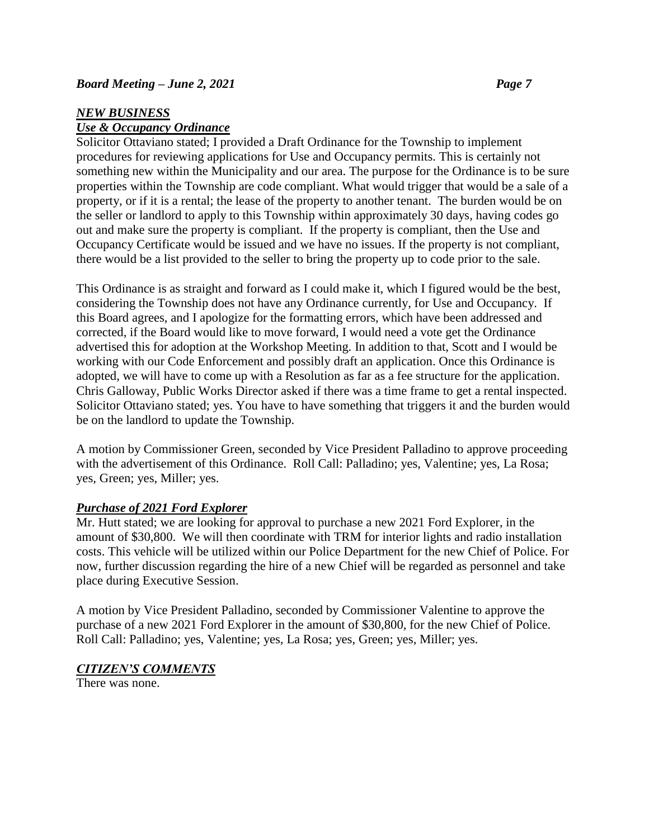## *NEW BUSINESS*

## *Use & Occupancy Ordinance*

Solicitor Ottaviano stated; I provided a Draft Ordinance for the Township to implement procedures for reviewing applications for Use and Occupancy permits. This is certainly not something new within the Municipality and our area. The purpose for the Ordinance is to be sure properties within the Township are code compliant. What would trigger that would be a sale of a property, or if it is a rental; the lease of the property to another tenant. The burden would be on the seller or landlord to apply to this Township within approximately 30 days, having codes go out and make sure the property is compliant. If the property is compliant, then the Use and Occupancy Certificate would be issued and we have no issues. If the property is not compliant, there would be a list provided to the seller to bring the property up to code prior to the sale.

This Ordinance is as straight and forward as I could make it, which I figured would be the best, considering the Township does not have any Ordinance currently, for Use and Occupancy. If this Board agrees, and I apologize for the formatting errors, which have been addressed and corrected, if the Board would like to move forward, I would need a vote get the Ordinance advertised this for adoption at the Workshop Meeting. In addition to that, Scott and I would be working with our Code Enforcement and possibly draft an application. Once this Ordinance is adopted, we will have to come up with a Resolution as far as a fee structure for the application. Chris Galloway, Public Works Director asked if there was a time frame to get a rental inspected. Solicitor Ottaviano stated; yes. You have to have something that triggers it and the burden would be on the landlord to update the Township.

A motion by Commissioner Green, seconded by Vice President Palladino to approve proceeding with the advertisement of this Ordinance. Roll Call: Palladino; yes, Valentine; yes, La Rosa; yes, Green; yes, Miller; yes.

#### *Purchase of 2021 Ford Explorer*

Mr. Hutt stated; we are looking for approval to purchase a new 2021 Ford Explorer, in the amount of \$30,800. We will then coordinate with TRM for interior lights and radio installation costs. This vehicle will be utilized within our Police Department for the new Chief of Police. For now, further discussion regarding the hire of a new Chief will be regarded as personnel and take place during Executive Session.

A motion by Vice President Palladino, seconded by Commissioner Valentine to approve the purchase of a new 2021 Ford Explorer in the amount of \$30,800, for the new Chief of Police. Roll Call: Palladino; yes, Valentine; yes, La Rosa; yes, Green; yes, Miller; yes.

# *CITIZEN'S COMMENTS*

There was none.